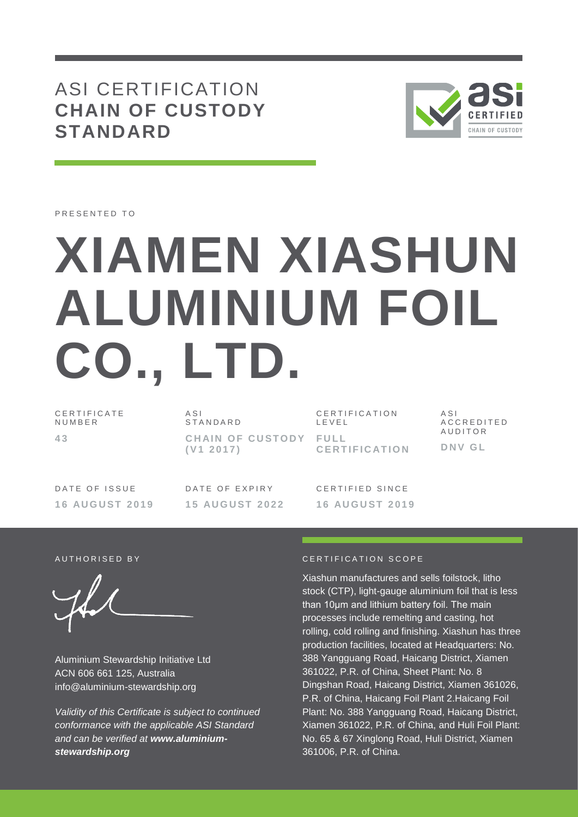## ASI CERTIFICATION **CHAIN OF CUSTODY STANDARD**



PRESENTED TO

# **XIAMEN XIASHUN ALUMINIUM FOIL CO., LTD.**

C E R T I F I C A T E N U M B E R **4 3**

 $A S I$ S T A N D A R D **CHAIN OF CUSTODY FULL ( V1 2 0 1 7 )**

C E R T I F I C A T I O N L E V E L **C E R T I F I C AT I O N**

A S I A C C R E D I T E D **AUDITOR D N V G L**

DATE OF ISSUE **1 6 AU G U S T 2 0 1 9** DATE OF EXPIRY **1 5 AU G U S T 2 0 2 2**

C F R T I F I F D S I N C F **1 6 AU G U S T 2 0 1 9**

Aluminium Stewardship Initiative Ltd ACN 606 661 125, Australia info@aluminium-stewardship.org

*Validity of this Certificate is subject to continued conformance with the applicable ASI Standard and can be verified at www.aluminiumstewardship.org*

#### A U T HORISED BY **CERTIFICATION** SCOPE

Xiashun manufactures and sells foilstock, litho stock (CTP), light-gauge aluminium foil that is less than 10μm and lithium battery foil. The main processes include remelting and casting, hot rolling, cold rolling and finishing. Xiashun has three production facilities, located at Headquarters: No. 388 Yangguang Road, Haicang District, Xiamen 361022, P.R. of China, Sheet Plant: No. 8 Dingshan Road, Haicang District, Xiamen 361026, P.R. of China, Haicang Foil Plant 2.Haicang Foil Plant: No. 388 Yangguang Road, Haicang District, Xiamen 361022, P.R. of China, and Huli Foil Plant: No. 65 & 67 Xinglong Road, Huli District, Xiamen 361006, P.R. of China.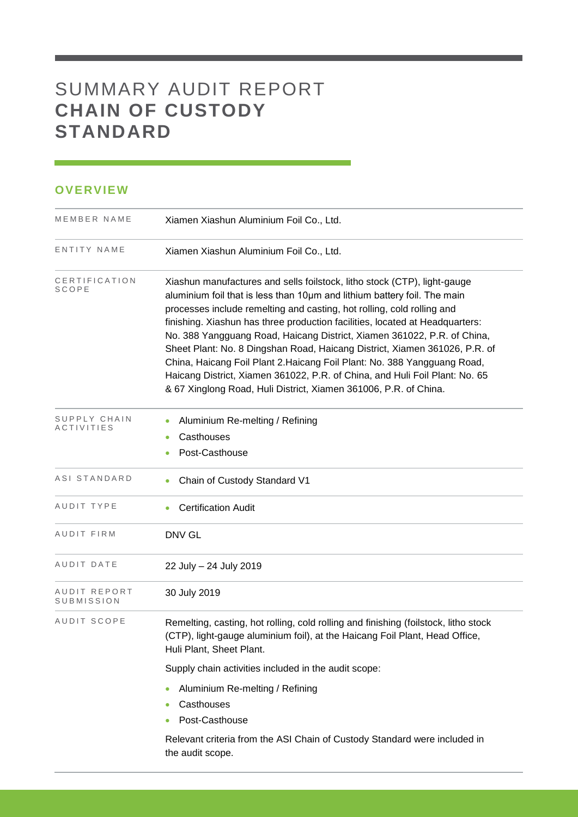# SUMMARY AUDIT REPORT **CHAIN OF CUSTODY STANDARD**

### **OVERVIEW**

| MEMBER NAME                       | Xiamen Xiashun Aluminium Foil Co., Ltd.                                                                                                                                                                                                                                                                                                                                                                                                                                                                                                                                                                                                                                                                |
|-----------------------------------|--------------------------------------------------------------------------------------------------------------------------------------------------------------------------------------------------------------------------------------------------------------------------------------------------------------------------------------------------------------------------------------------------------------------------------------------------------------------------------------------------------------------------------------------------------------------------------------------------------------------------------------------------------------------------------------------------------|
| ENTITY NAME                       | Xiamen Xiashun Aluminium Foil Co., Ltd.                                                                                                                                                                                                                                                                                                                                                                                                                                                                                                                                                                                                                                                                |
| CERTIFICATION<br>SCOPE            | Xiashun manufactures and sells foilstock, litho stock (CTP), light-gauge<br>aluminium foil that is less than 10um and lithium battery foil. The main<br>processes include remelting and casting, hot rolling, cold rolling and<br>finishing. Xiashun has three production facilities, located at Headquarters:<br>No. 388 Yangguang Road, Haicang District, Xiamen 361022, P.R. of China,<br>Sheet Plant: No. 8 Dingshan Road, Haicang District, Xiamen 361026, P.R. of<br>China, Haicang Foil Plant 2. Haicang Foil Plant: No. 388 Yangguang Road,<br>Haicang District, Xiamen 361022, P.R. of China, and Huli Foil Plant: No. 65<br>& 67 Xinglong Road, Huli District, Xiamen 361006, P.R. of China. |
| SUPPLY CHAIN<br><b>ACTIVITIES</b> | Aluminium Re-melting / Refining<br>Casthouses<br>Post-Casthouse                                                                                                                                                                                                                                                                                                                                                                                                                                                                                                                                                                                                                                        |
| ASI STANDARD                      | Chain of Custody Standard V1                                                                                                                                                                                                                                                                                                                                                                                                                                                                                                                                                                                                                                                                           |
| AUDIT TYPE                        | <b>Certification Audit</b>                                                                                                                                                                                                                                                                                                                                                                                                                                                                                                                                                                                                                                                                             |
| AUDIT FIRM                        | <b>DNV GL</b>                                                                                                                                                                                                                                                                                                                                                                                                                                                                                                                                                                                                                                                                                          |
| AUDIT DATE                        | 22 July - 24 July 2019                                                                                                                                                                                                                                                                                                                                                                                                                                                                                                                                                                                                                                                                                 |
| AUDIT REPORT<br>SUBMISSION        | 30 July 2019                                                                                                                                                                                                                                                                                                                                                                                                                                                                                                                                                                                                                                                                                           |
| AUDIT SCOPE                       | Remelting, casting, hot rolling, cold rolling and finishing (foilstock, litho stock<br>(CTP), light-gauge aluminium foil), at the Haicang Foil Plant, Head Office,<br>Huli Plant, Sheet Plant.                                                                                                                                                                                                                                                                                                                                                                                                                                                                                                         |
|                                   | Supply chain activities included in the audit scope:                                                                                                                                                                                                                                                                                                                                                                                                                                                                                                                                                                                                                                                   |
|                                   | Aluminium Re-melting / Refining                                                                                                                                                                                                                                                                                                                                                                                                                                                                                                                                                                                                                                                                        |
|                                   | Casthouses                                                                                                                                                                                                                                                                                                                                                                                                                                                                                                                                                                                                                                                                                             |
|                                   | Post-Casthouse                                                                                                                                                                                                                                                                                                                                                                                                                                                                                                                                                                                                                                                                                         |
|                                   | Relevant criteria from the ASI Chain of Custody Standard were included in<br>the audit scope.                                                                                                                                                                                                                                                                                                                                                                                                                                                                                                                                                                                                          |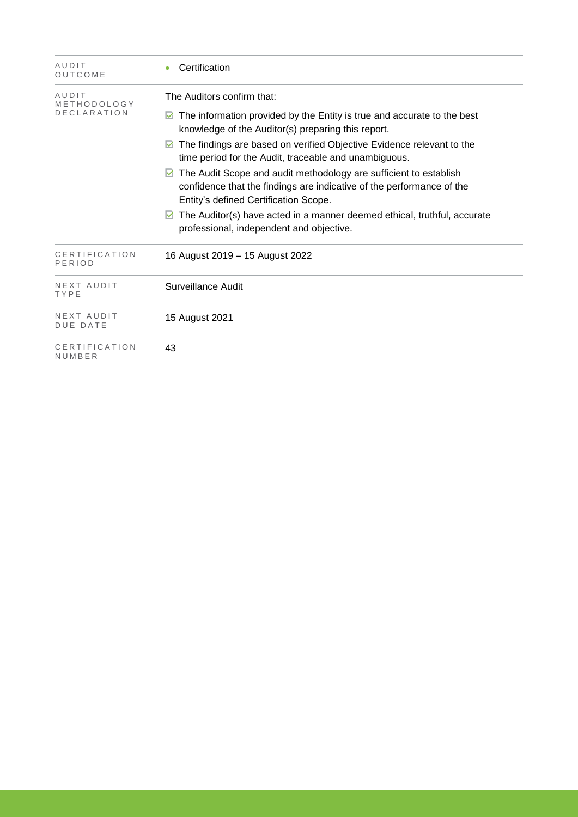| AUDIT<br>OUTCOME                           | Certification                                                                                                                                                                                                                                                                                                                                                                                                                                                                                                                                                                                                     |
|--------------------------------------------|-------------------------------------------------------------------------------------------------------------------------------------------------------------------------------------------------------------------------------------------------------------------------------------------------------------------------------------------------------------------------------------------------------------------------------------------------------------------------------------------------------------------------------------------------------------------------------------------------------------------|
| AUDIT<br>METHODOLOGY<br><b>DECLARATION</b> | The Auditors confirm that:<br>The information provided by the Entity is true and accurate to the best<br>knowledge of the Auditor(s) preparing this report.<br>The findings are based on verified Objective Evidence relevant to the<br>time period for the Audit, traceable and unambiguous.<br>The Audit Scope and audit methodology are sufficient to establish<br>confidence that the findings are indicative of the performance of the<br>Entity's defined Certification Scope.<br>The Auditor(s) have acted in a manner deemed ethical, truthful, accurate<br>M<br>professional, independent and objective. |
| CERTIFICATION<br>PERIOD                    | 16 August 2019 - 15 August 2022                                                                                                                                                                                                                                                                                                                                                                                                                                                                                                                                                                                   |
| NEXT AUDIT<br>TYPE                         | Surveillance Audit                                                                                                                                                                                                                                                                                                                                                                                                                                                                                                                                                                                                |
| NEXT AUDIT<br><b>DUE DATE</b>              | 15 August 2021                                                                                                                                                                                                                                                                                                                                                                                                                                                                                                                                                                                                    |
| CERTIFICATION<br>NUMBER                    | 43                                                                                                                                                                                                                                                                                                                                                                                                                                                                                                                                                                                                                |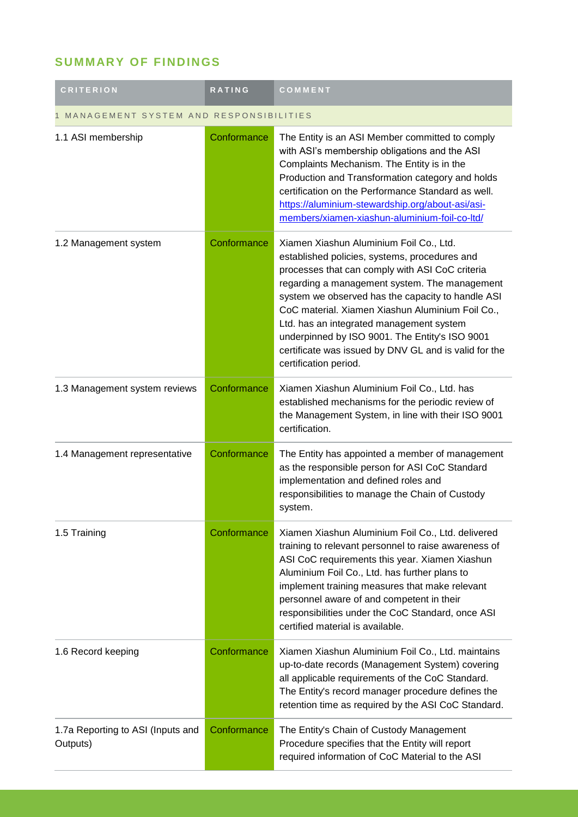## **SUMMARY OF FINDINGS**

| <b>CRITERION</b>                              | <b>RATING</b> | COMMENT                                                                                                                                                                                                                                                                                                                                                                                                                                                                               |  |
|-----------------------------------------------|---------------|---------------------------------------------------------------------------------------------------------------------------------------------------------------------------------------------------------------------------------------------------------------------------------------------------------------------------------------------------------------------------------------------------------------------------------------------------------------------------------------|--|
| MANAGEMENT SYSTEM AND RESPONSIBILITIES        |               |                                                                                                                                                                                                                                                                                                                                                                                                                                                                                       |  |
| 1.1 ASI membership                            | Conformance   | The Entity is an ASI Member committed to comply<br>with ASI's membership obligations and the ASI<br>Complaints Mechanism. The Entity is in the<br>Production and Transformation category and holds<br>certification on the Performance Standard as well.<br>https://aluminium-stewardship.org/about-asi/asi-<br>members/xiamen-xiashun-aluminium-foil-co-ltd/                                                                                                                         |  |
| 1.2 Management system                         | Conformance   | Xiamen Xiashun Aluminium Foil Co., Ltd.<br>established policies, systems, procedures and<br>processes that can comply with ASI CoC criteria<br>regarding a management system. The management<br>system we observed has the capacity to handle ASI<br>CoC material. Xiamen Xiashun Aluminium Foil Co.,<br>Ltd. has an integrated management system<br>underpinned by ISO 9001. The Entity's ISO 9001<br>certificate was issued by DNV GL and is valid for the<br>certification period. |  |
| 1.3 Management system reviews                 | Conformance   | Xiamen Xiashun Aluminium Foil Co., Ltd. has<br>established mechanisms for the periodic review of<br>the Management System, in line with their ISO 9001<br>certification.                                                                                                                                                                                                                                                                                                              |  |
| 1.4 Management representative                 | Conformance   | The Entity has appointed a member of management<br>as the responsible person for ASI CoC Standard<br>implementation and defined roles and<br>responsibilities to manage the Chain of Custody<br>system.                                                                                                                                                                                                                                                                               |  |
| 1.5 Training                                  | Conformance   | Xiamen Xiashun Aluminium Foil Co., Ltd. delivered<br>training to relevant personnel to raise awareness of<br>ASI CoC requirements this year. Xiamen Xiashun<br>Aluminium Foil Co., Ltd. has further plans to<br>implement training measures that make relevant<br>personnel aware of and competent in their<br>responsibilities under the CoC Standard, once ASI<br>certified material is available.                                                                                  |  |
| 1.6 Record keeping                            | Conformance   | Xiamen Xiashun Aluminium Foil Co., Ltd. maintains<br>up-to-date records (Management System) covering<br>all applicable requirements of the CoC Standard.<br>The Entity's record manager procedure defines the<br>retention time as required by the ASI CoC Standard.                                                                                                                                                                                                                  |  |
| 1.7a Reporting to ASI (Inputs and<br>Outputs) | Conformance   | The Entity's Chain of Custody Management<br>Procedure specifies that the Entity will report<br>required information of CoC Material to the ASI                                                                                                                                                                                                                                                                                                                                        |  |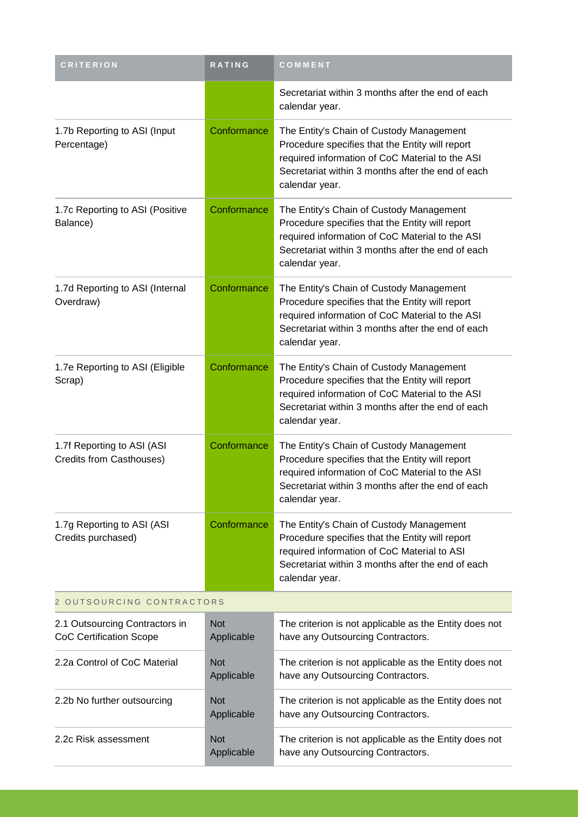| <b>CRITERION</b>                                                 | RATING                   | COMMENT                                                                                                                                                                                                               |  |
|------------------------------------------------------------------|--------------------------|-----------------------------------------------------------------------------------------------------------------------------------------------------------------------------------------------------------------------|--|
|                                                                  |                          | Secretariat within 3 months after the end of each<br>calendar year.                                                                                                                                                   |  |
| 1.7b Reporting to ASI (Input<br>Percentage)                      | Conformance              | The Entity's Chain of Custody Management<br>Procedure specifies that the Entity will report<br>required information of CoC Material to the ASI<br>Secretariat within 3 months after the end of each<br>calendar year. |  |
| 1.7c Reporting to ASI (Positive<br>Balance)                      | Conformance              | The Entity's Chain of Custody Management<br>Procedure specifies that the Entity will report<br>required information of CoC Material to the ASI<br>Secretariat within 3 months after the end of each<br>calendar year. |  |
| 1.7d Reporting to ASI (Internal<br>Overdraw)                     | Conformance              | The Entity's Chain of Custody Management<br>Procedure specifies that the Entity will report<br>required information of CoC Material to the ASI<br>Secretariat within 3 months after the end of each<br>calendar year. |  |
| 1.7e Reporting to ASI (Eligible<br>Scrap)                        | Conformance              | The Entity's Chain of Custody Management<br>Procedure specifies that the Entity will report<br>required information of CoC Material to the ASI<br>Secretariat within 3 months after the end of each<br>calendar year. |  |
| 1.7f Reporting to ASI (ASI<br>Credits from Casthouses)           | Conformance              | The Entity's Chain of Custody Management<br>Procedure specifies that the Entity will report<br>required information of CoC Material to the ASI<br>Secretariat within 3 months after the end of each<br>calendar year. |  |
| 1.7g Reporting to ASI (ASI<br>Credits purchased)                 | Conformance              | The Entity's Chain of Custody Management<br>Procedure specifies that the Entity will report<br>required information of CoC Material to ASI<br>Secretariat within 3 months after the end of each<br>calendar year.     |  |
| 2 OUTSOURCING CONTRACTORS                                        |                          |                                                                                                                                                                                                                       |  |
| 2.1 Outsourcing Contractors in<br><b>CoC Certification Scope</b> | <b>Not</b><br>Applicable | The criterion is not applicable as the Entity does not<br>have any Outsourcing Contractors.                                                                                                                           |  |
| 2.2a Control of CoC Material                                     | <b>Not</b><br>Applicable | The criterion is not applicable as the Entity does not<br>have any Outsourcing Contractors.                                                                                                                           |  |
| 2.2b No further outsourcing                                      | <b>Not</b><br>Applicable | The criterion is not applicable as the Entity does not<br>have any Outsourcing Contractors.                                                                                                                           |  |
| 2.2c Risk assessment                                             | <b>Not</b><br>Applicable | The criterion is not applicable as the Entity does not<br>have any Outsourcing Contractors.                                                                                                                           |  |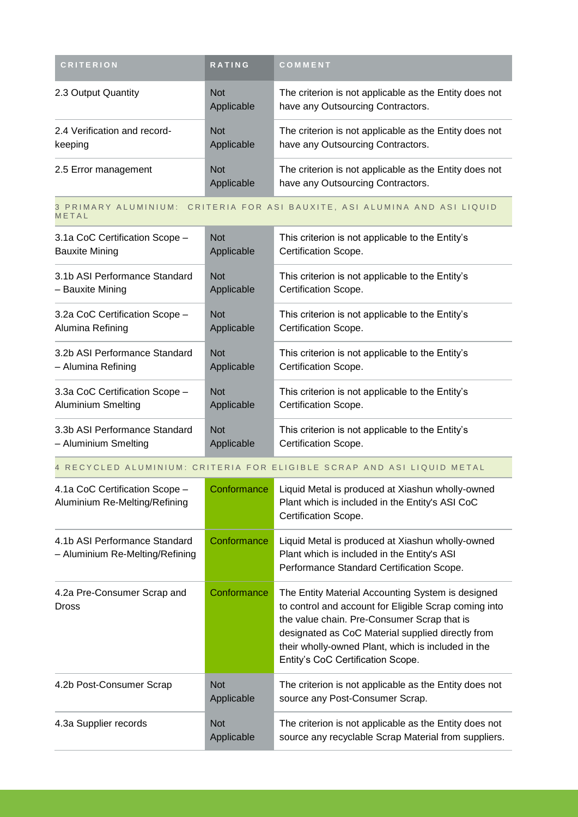| <b>CRITERION</b>                        | <b>RATING</b>            | <b>COMMENT</b>                                                                              |
|-----------------------------------------|--------------------------|---------------------------------------------------------------------------------------------|
| 2.3 Output Quantity                     | <b>Not</b><br>Applicable | The criterion is not applicable as the Entity does not<br>have any Outsourcing Contractors. |
| 2.4 Verification and record-<br>keeping | <b>Not</b><br>Applicable | The criterion is not applicable as the Entity does not<br>have any Outsourcing Contractors. |
| 2.5 Error management                    | <b>Not</b><br>Applicable | The criterion is not applicable as the Entity does not<br>have any Outsourcing Contractors. |

#### 3 PRIMARY ALUMINIUM: CRITERIA FOR ASI BAUXITE, ASI ALUMINA AND ASI LIQUID **METAL**

| 3.1a CoC Certification Scope - | <b>Not</b> | This criterion is not applicable to the Entity's |
|--------------------------------|------------|--------------------------------------------------|
| <b>Bauxite Mining</b>          | Applicable | Certification Scope.                             |
| 3.1b ASI Performance Standard  | <b>Not</b> | This criterion is not applicable to the Entity's |
| – Bauxite Mining               | Applicable | Certification Scope.                             |
| 3.2a CoC Certification Scope - | <b>Not</b> | This criterion is not applicable to the Entity's |
| Alumina Refining               | Applicable | Certification Scope.                             |
| 3.2b ASI Performance Standard  | <b>Not</b> | This criterion is not applicable to the Entity's |
| – Alumina Refining             | Applicable | Certification Scope.                             |
| 3.3a CoC Certification Scope - | <b>Not</b> | This criterion is not applicable to the Entity's |
| <b>Aluminium Smelting</b>      | Applicable | Certification Scope.                             |
| 3.3b ASI Performance Standard  | <b>Not</b> | This criterion is not applicable to the Entity's |
| – Aluminium Smelting           | Applicable | Certification Scope.                             |

#### 4 RECYCLED ALUMINIUM: CRITERIA FOR ELIGIBLE SCRAP AND ASI LIQUID METAL

| 4.1a CoC Certification Scope -<br>Aluminium Re-Melting/Refining  | Conformance              | Liquid Metal is produced at Xiashun wholly-owned<br>Plant which is included in the Entity's ASI CoC<br>Certification Scope.                                                                                                                                                                               |
|------------------------------------------------------------------|--------------------------|-----------------------------------------------------------------------------------------------------------------------------------------------------------------------------------------------------------------------------------------------------------------------------------------------------------|
| 4.1b ASI Performance Standard<br>- Aluminium Re-Melting/Refining | Conformance              | Liquid Metal is produced at Xiashun wholly-owned<br>Plant which is included in the Entity's ASI<br>Performance Standard Certification Scope.                                                                                                                                                              |
| 4.2a Pre-Consumer Scrap and<br><b>Dross</b>                      | Conformance              | The Entity Material Accounting System is designed<br>to control and account for Eligible Scrap coming into<br>the value chain. Pre-Consumer Scrap that is<br>designated as CoC Material supplied directly from<br>their wholly-owned Plant, which is included in the<br>Entity's CoC Certification Scope. |
| 4.2b Post-Consumer Scrap                                         | <b>Not</b><br>Applicable | The criterion is not applicable as the Entity does not<br>source any Post-Consumer Scrap.                                                                                                                                                                                                                 |
| 4.3a Supplier records                                            | <b>Not</b><br>Applicable | The criterion is not applicable as the Entity does not<br>source any recyclable Scrap Material from suppliers.                                                                                                                                                                                            |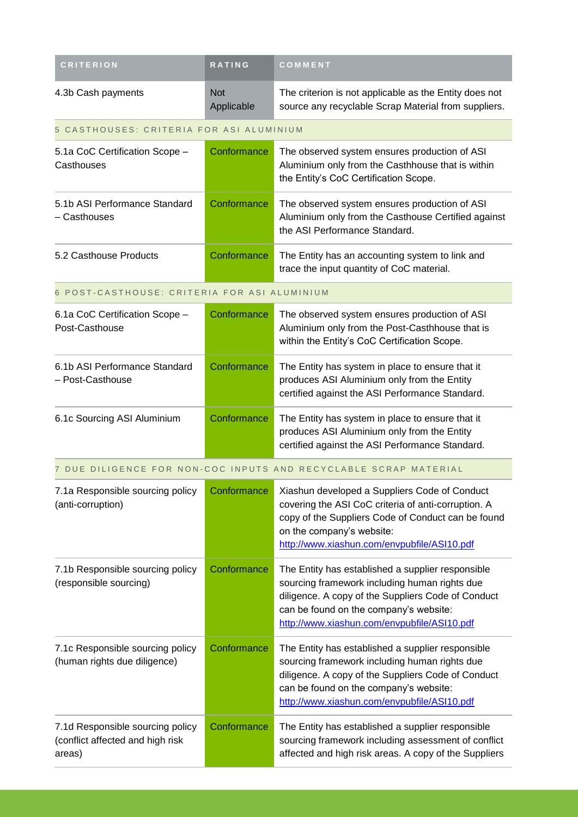| <b>CRITERION</b>                                                               | <b>RATING</b>            | COMMENT                                                                                                                                                                                                                                           |
|--------------------------------------------------------------------------------|--------------------------|---------------------------------------------------------------------------------------------------------------------------------------------------------------------------------------------------------------------------------------------------|
| 4.3b Cash payments                                                             | <b>Not</b><br>Applicable | The criterion is not applicable as the Entity does not<br>source any recyclable Scrap Material from suppliers.                                                                                                                                    |
| 5 CASTHOUSES: CRITERIA FOR ASI ALUMINIUM                                       |                          |                                                                                                                                                                                                                                                   |
| 5.1a CoC Certification Scope -<br>Casthouses                                   | Conformance              | The observed system ensures production of ASI<br>Aluminium only from the Casthhouse that is within<br>the Entity's CoC Certification Scope.                                                                                                       |
| 5.1b ASI Performance Standard<br>- Casthouses                                  | Conformance              | The observed system ensures production of ASI<br>Aluminium only from the Casthouse Certified against<br>the ASI Performance Standard.                                                                                                             |
| 5.2 Casthouse Products                                                         | Conformance              | The Entity has an accounting system to link and<br>trace the input quantity of CoC material.                                                                                                                                                      |
| 6 POST-CASTHOUSE: CRITERIA FOR ASI ALUMINIUM                                   |                          |                                                                                                                                                                                                                                                   |
| 6.1a CoC Certification Scope -<br>Post-Casthouse                               | Conformance              | The observed system ensures production of ASI<br>Aluminium only from the Post-Casthhouse that is<br>within the Entity's CoC Certification Scope.                                                                                                  |
| 6.1b ASI Performance Standard<br>- Post-Casthouse                              | Conformance              | The Entity has system in place to ensure that it<br>produces ASI Aluminium only from the Entity<br>certified against the ASI Performance Standard.                                                                                                |
| 6.1c Sourcing ASI Aluminium                                                    | Conformance              | The Entity has system in place to ensure that it<br>produces ASI Aluminium only from the Entity<br>certified against the ASI Performance Standard.                                                                                                |
|                                                                                |                          | 7 DUE DILIGENCE FOR NON-COC INPUTS AND RECYCLABLE SCRAP MATERIAL                                                                                                                                                                                  |
| 7.1a Responsible sourcing policy<br>(anti-corruption)                          | Conformance              | Xiashun developed a Suppliers Code of Conduct<br>covering the ASI CoC criteria of anti-corruption. A<br>copy of the Suppliers Code of Conduct can be found<br>on the company's website:<br>http://www.xiashun.com/envpubfile/ASI10.pdf            |
| 7.1b Responsible sourcing policy<br>(responsible sourcing)                     | Conformance              | The Entity has established a supplier responsible<br>sourcing framework including human rights due<br>diligence. A copy of the Suppliers Code of Conduct<br>can be found on the company's website:<br>http://www.xiashun.com/envpubfile/ASI10.pdf |
| 7.1c Responsible sourcing policy<br>(human rights due diligence)               | Conformance              | The Entity has established a supplier responsible<br>sourcing framework including human rights due<br>diligence. A copy of the Suppliers Code of Conduct<br>can be found on the company's website:<br>http://www.xiashun.com/envpubfile/ASI10.pdf |
| 7.1d Responsible sourcing policy<br>(conflict affected and high risk<br>areas) | Conformance              | The Entity has established a supplier responsible<br>sourcing framework including assessment of conflict<br>affected and high risk areas. A copy of the Suppliers                                                                                 |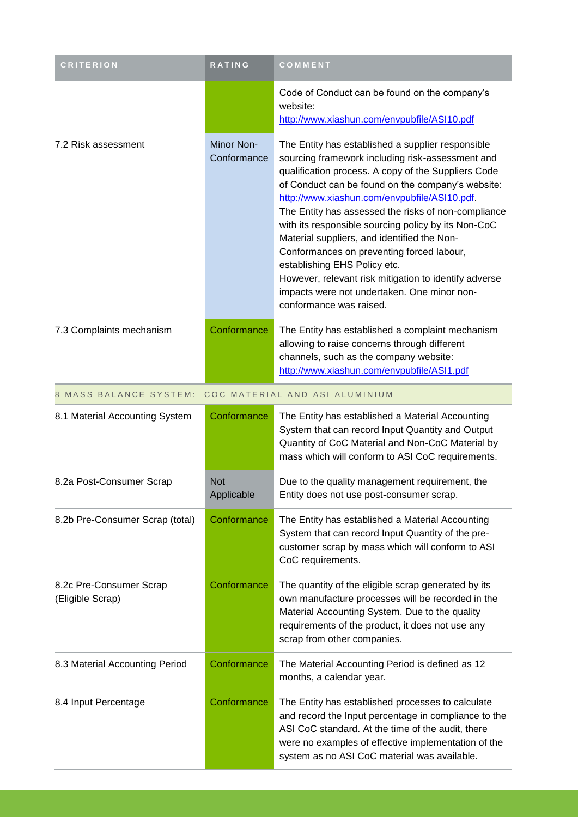| <b>CRITERION</b>                            | <b>RATING</b>             | COMMENT                                                                                                                                                                                                                                                                                                                                                                                                                                                                                                                                                                                                                                        |
|---------------------------------------------|---------------------------|------------------------------------------------------------------------------------------------------------------------------------------------------------------------------------------------------------------------------------------------------------------------------------------------------------------------------------------------------------------------------------------------------------------------------------------------------------------------------------------------------------------------------------------------------------------------------------------------------------------------------------------------|
|                                             |                           | Code of Conduct can be found on the company's<br>website:<br>http://www.xiashun.com/envpubfile/ASI10.pdf                                                                                                                                                                                                                                                                                                                                                                                                                                                                                                                                       |
| 7.2 Risk assessment                         | Minor Non-<br>Conformance | The Entity has established a supplier responsible<br>sourcing framework including risk-assessment and<br>qualification process. A copy of the Suppliers Code<br>of Conduct can be found on the company's website:<br>http://www.xiashun.com/envpubfile/ASI10.pdf.<br>The Entity has assessed the risks of non-compliance<br>with its responsible sourcing policy by its Non-CoC<br>Material suppliers, and identified the Non-<br>Conformances on preventing forced labour,<br>establishing EHS Policy etc.<br>However, relevant risk mitigation to identify adverse<br>impacts were not undertaken. One minor non-<br>conformance was raised. |
| 7.3 Complaints mechanism                    | Conformance               | The Entity has established a complaint mechanism<br>allowing to raise concerns through different<br>channels, such as the company website:<br>http://www.xiashun.com/envpubfile/ASI1.pdf                                                                                                                                                                                                                                                                                                                                                                                                                                                       |
| 8 MASS BALANCE SYSTEM:                      |                           | COC MATERIAL AND ASI ALUMINIUM                                                                                                                                                                                                                                                                                                                                                                                                                                                                                                                                                                                                                 |
| 8.1 Material Accounting System              | Conformance               | The Entity has established a Material Accounting<br>System that can record Input Quantity and Output<br>Quantity of CoC Material and Non-CoC Material by<br>mass which will conform to ASI CoC requirements.                                                                                                                                                                                                                                                                                                                                                                                                                                   |
| 8.2a Post-Consumer Scrap                    | <b>Not</b><br>Applicable  | Due to the quality management requirement, the<br>Entity does not use post-consumer scrap.                                                                                                                                                                                                                                                                                                                                                                                                                                                                                                                                                     |
| 8.2b Pre-Consumer Scrap (total)             | Conformance               | The Entity has established a Material Accounting<br>System that can record Input Quantity of the pre-<br>customer scrap by mass which will conform to ASI<br>CoC requirements.                                                                                                                                                                                                                                                                                                                                                                                                                                                                 |
| 8.2c Pre-Consumer Scrap<br>(Eligible Scrap) | Conformance               | The quantity of the eligible scrap generated by its<br>own manufacture processes will be recorded in the<br>Material Accounting System. Due to the quality<br>requirements of the product, it does not use any<br>scrap from other companies.                                                                                                                                                                                                                                                                                                                                                                                                  |
| 8.3 Material Accounting Period              | Conformance               | The Material Accounting Period is defined as 12<br>months, a calendar year.                                                                                                                                                                                                                                                                                                                                                                                                                                                                                                                                                                    |
| 8.4 Input Percentage                        | Conformance               | The Entity has established processes to calculate<br>and record the Input percentage in compliance to the<br>ASI CoC standard. At the time of the audit, there<br>were no examples of effective implementation of the<br>system as no ASI CoC material was available.                                                                                                                                                                                                                                                                                                                                                                          |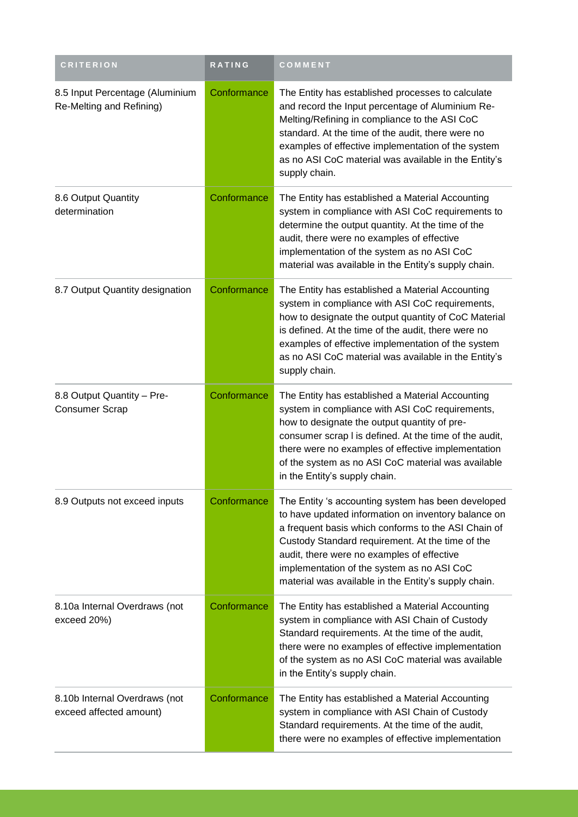| <b>CRITERION</b>                                            | RATING      | COMMENT                                                                                                                                                                                                                                                                                                                                                                  |
|-------------------------------------------------------------|-------------|--------------------------------------------------------------------------------------------------------------------------------------------------------------------------------------------------------------------------------------------------------------------------------------------------------------------------------------------------------------------------|
| 8.5 Input Percentage (Aluminium<br>Re-Melting and Refining) | Conformance | The Entity has established processes to calculate<br>and record the Input percentage of Aluminium Re-<br>Melting/Refining in compliance to the ASI CoC<br>standard. At the time of the audit, there were no<br>examples of effective implementation of the system<br>as no ASI CoC material was available in the Entity's<br>supply chain.                               |
| 8.6 Output Quantity<br>determination                        | Conformance | The Entity has established a Material Accounting<br>system in compliance with ASI CoC requirements to<br>determine the output quantity. At the time of the<br>audit, there were no examples of effective<br>implementation of the system as no ASI CoC<br>material was available in the Entity's supply chain.                                                           |
| 8.7 Output Quantity designation                             | Conformance | The Entity has established a Material Accounting<br>system in compliance with ASI CoC requirements,<br>how to designate the output quantity of CoC Material<br>is defined. At the time of the audit, there were no<br>examples of effective implementation of the system<br>as no ASI CoC material was available in the Entity's<br>supply chain.                        |
| 8.8 Output Quantity - Pre-<br><b>Consumer Scrap</b>         | Conformance | The Entity has established a Material Accounting<br>system in compliance with ASI CoC requirements,<br>how to designate the output quantity of pre-<br>consumer scrap I is defined. At the time of the audit,<br>there were no examples of effective implementation<br>of the system as no ASI CoC material was available<br>in the Entity's supply chain.               |
| 8.9 Outputs not exceed inputs                               | Conformance | The Entity 's accounting system has been developed<br>to have updated information on inventory balance on<br>a frequent basis which conforms to the ASI Chain of<br>Custody Standard requirement. At the time of the<br>audit, there were no examples of effective<br>implementation of the system as no ASI CoC<br>material was available in the Entity's supply chain. |
| 8.10a Internal Overdraws (not<br>exceed 20%)                | Conformance | The Entity has established a Material Accounting<br>system in compliance with ASI Chain of Custody<br>Standard requirements. At the time of the audit,<br>there were no examples of effective implementation<br>of the system as no ASI CoC material was available<br>in the Entity's supply chain.                                                                      |
| 8.10b Internal Overdraws (not<br>exceed affected amount)    | Conformance | The Entity has established a Material Accounting<br>system in compliance with ASI Chain of Custody<br>Standard requirements. At the time of the audit,<br>there were no examples of effective implementation                                                                                                                                                             |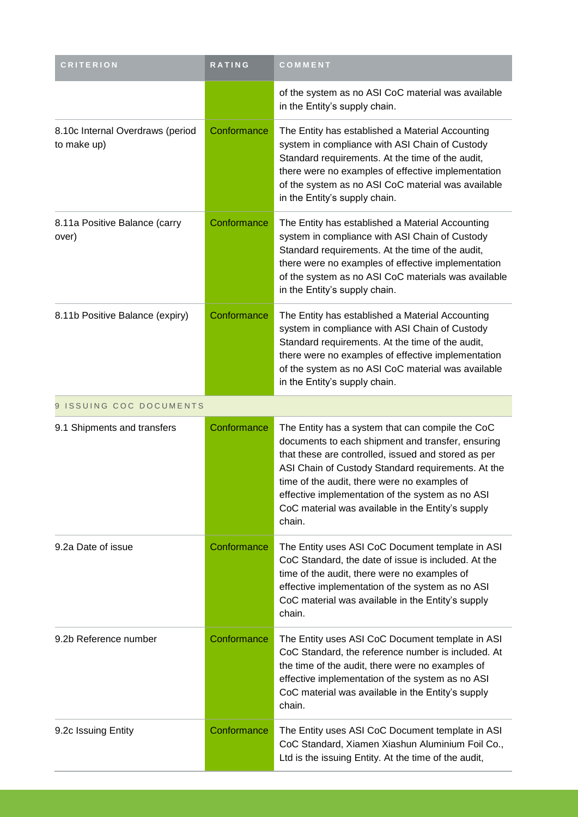| <b>CRITERION</b>                                | RATING      | COMMENT                                                                                                                                                                                                                                                                                                                                                                               |
|-------------------------------------------------|-------------|---------------------------------------------------------------------------------------------------------------------------------------------------------------------------------------------------------------------------------------------------------------------------------------------------------------------------------------------------------------------------------------|
|                                                 |             | of the system as no ASI CoC material was available<br>in the Entity's supply chain.                                                                                                                                                                                                                                                                                                   |
| 8.10c Internal Overdraws (period<br>to make up) | Conformance | The Entity has established a Material Accounting<br>system in compliance with ASI Chain of Custody<br>Standard requirements. At the time of the audit,<br>there were no examples of effective implementation<br>of the system as no ASI CoC material was available<br>in the Entity's supply chain.                                                                                   |
| 8.11a Positive Balance (carry<br>over)          | Conformance | The Entity has established a Material Accounting<br>system in compliance with ASI Chain of Custody<br>Standard requirements. At the time of the audit,<br>there were no examples of effective implementation<br>of the system as no ASI CoC materials was available<br>in the Entity's supply chain.                                                                                  |
| 8.11b Positive Balance (expiry)                 | Conformance | The Entity has established a Material Accounting<br>system in compliance with ASI Chain of Custody<br>Standard requirements. At the time of the audit,<br>there were no examples of effective implementation<br>of the system as no ASI CoC material was available<br>in the Entity's supply chain.                                                                                   |
| 9 ISSUING COC DOCUMENTS                         |             |                                                                                                                                                                                                                                                                                                                                                                                       |
| 9.1 Shipments and transfers                     | Conformance | The Entity has a system that can compile the CoC<br>documents to each shipment and transfer, ensuring<br>that these are controlled, issued and stored as per<br>ASI Chain of Custody Standard requirements. At the<br>time of the audit, there were no examples of<br>effective implementation of the system as no ASI<br>CoC material was available in the Entity's supply<br>chain. |
| 9.2a Date of issue                              | Conformance | The Entity uses ASI CoC Document template in ASI<br>CoC Standard, the date of issue is included. At the<br>time of the audit, there were no examples of<br>effective implementation of the system as no ASI<br>CoC material was available in the Entity's supply<br>chain.                                                                                                            |
| 9.2b Reference number                           | Conformance | The Entity uses ASI CoC Document template in ASI<br>CoC Standard, the reference number is included. At<br>the time of the audit, there were no examples of<br>effective implementation of the system as no ASI<br>CoC material was available in the Entity's supply<br>chain.                                                                                                         |
| 9.2c Issuing Entity                             | Conformance | The Entity uses ASI CoC Document template in ASI<br>CoC Standard, Xiamen Xiashun Aluminium Foil Co.,<br>Ltd is the issuing Entity. At the time of the audit,                                                                                                                                                                                                                          |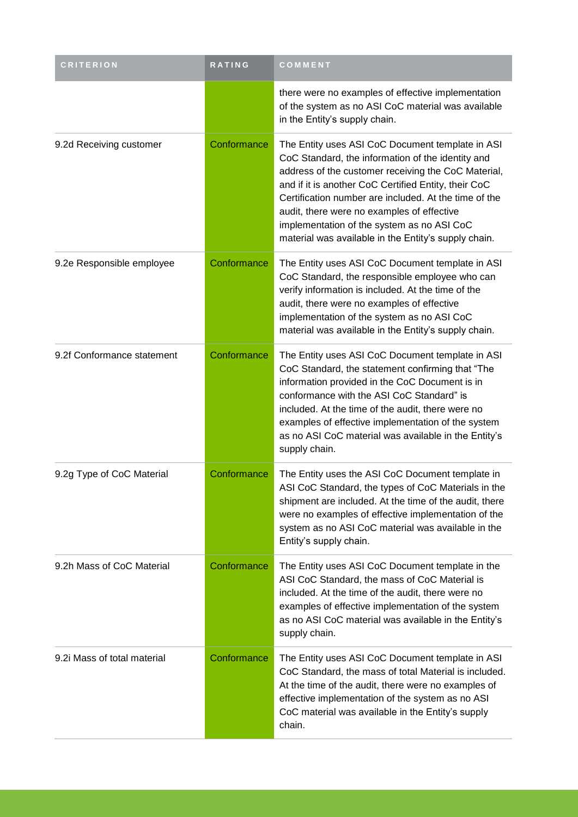| <b>CRITERION</b>            | RATING      | COMMENT                                                                                                                                                                                                                                                                                                                                                                                                                           |
|-----------------------------|-------------|-----------------------------------------------------------------------------------------------------------------------------------------------------------------------------------------------------------------------------------------------------------------------------------------------------------------------------------------------------------------------------------------------------------------------------------|
|                             |             | there were no examples of effective implementation<br>of the system as no ASI CoC material was available<br>in the Entity's supply chain.                                                                                                                                                                                                                                                                                         |
| 9.2d Receiving customer     | Conformance | The Entity uses ASI CoC Document template in ASI<br>CoC Standard, the information of the identity and<br>address of the customer receiving the CoC Material,<br>and if it is another CoC Certified Entity, their CoC<br>Certification number are included. At the time of the<br>audit, there were no examples of effective<br>implementation of the system as no ASI CoC<br>material was available in the Entity's supply chain. |
| 9.2e Responsible employee   | Conformance | The Entity uses ASI CoC Document template in ASI<br>CoC Standard, the responsible employee who can<br>verify information is included. At the time of the<br>audit, there were no examples of effective<br>implementation of the system as no ASI CoC<br>material was available in the Entity's supply chain.                                                                                                                      |
| 9.2f Conformance statement  | Conformance | The Entity uses ASI CoC Document template in ASI<br>CoC Standard, the statement confirming that "The<br>information provided in the CoC Document is in<br>conformance with the ASI CoC Standard" is<br>included. At the time of the audit, there were no<br>examples of effective implementation of the system<br>as no ASI CoC material was available in the Entity's<br>supply chain.                                           |
| 9.2g Type of CoC Material   | Conformance | The Entity uses the ASI CoC Document template in<br>ASI CoC Standard, the types of CoC Materials in the<br>shipment are included. At the time of the audit, there<br>were no examples of effective implementation of the<br>system as no ASI CoC material was available in the<br>Entity's supply chain.                                                                                                                          |
| 9.2h Mass of CoC Material   | Conformance | The Entity uses ASI CoC Document template in the<br>ASI CoC Standard, the mass of CoC Material is<br>included. At the time of the audit, there were no<br>examples of effective implementation of the system<br>as no ASI CoC material was available in the Entity's<br>supply chain.                                                                                                                                             |
| 9.2i Mass of total material | Conformance | The Entity uses ASI CoC Document template in ASI<br>CoC Standard, the mass of total Material is included.<br>At the time of the audit, there were no examples of<br>effective implementation of the system as no ASI<br>CoC material was available in the Entity's supply<br>chain.                                                                                                                                               |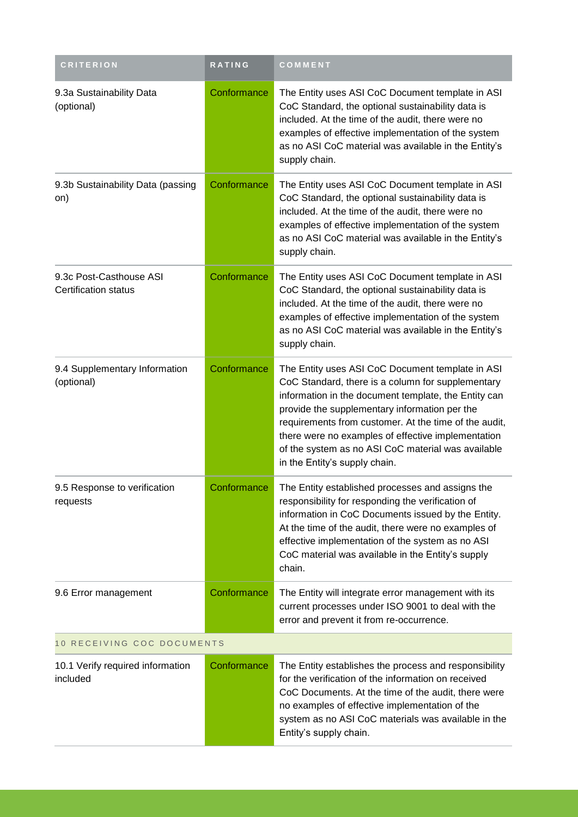| <b>CRITERION</b>                                       | <b>RATING</b> | COMMENT                                                                                                                                                                                                                                                                                                                                                                                                              |  |  |
|--------------------------------------------------------|---------------|----------------------------------------------------------------------------------------------------------------------------------------------------------------------------------------------------------------------------------------------------------------------------------------------------------------------------------------------------------------------------------------------------------------------|--|--|
| 9.3a Sustainability Data<br>(optional)                 | Conformance   | The Entity uses ASI CoC Document template in ASI<br>CoC Standard, the optional sustainability data is<br>included. At the time of the audit, there were no<br>examples of effective implementation of the system<br>as no ASI CoC material was available in the Entity's<br>supply chain.                                                                                                                            |  |  |
| 9.3b Sustainability Data (passing<br>on)               | Conformance   | The Entity uses ASI CoC Document template in ASI<br>CoC Standard, the optional sustainability data is<br>included. At the time of the audit, there were no<br>examples of effective implementation of the system<br>as no ASI CoC material was available in the Entity's<br>supply chain.                                                                                                                            |  |  |
| 9.3c Post-Casthouse ASI<br><b>Certification status</b> | Conformance   | The Entity uses ASI CoC Document template in ASI<br>CoC Standard, the optional sustainability data is<br>included. At the time of the audit, there were no<br>examples of effective implementation of the system<br>as no ASI CoC material was available in the Entity's<br>supply chain.                                                                                                                            |  |  |
| 9.4 Supplementary Information<br>(optional)            | Conformance   | The Entity uses ASI CoC Document template in ASI<br>CoC Standard, there is a column for supplementary<br>information in the document template, the Entity can<br>provide the supplementary information per the<br>requirements from customer. At the time of the audit,<br>there were no examples of effective implementation<br>of the system as no ASI CoC material was available<br>in the Entity's supply chain. |  |  |
| 9.5 Response to verification<br>requests               | Conformance   | The Entity established processes and assigns the<br>responsibility for responding the verification of<br>information in CoC Documents issued by the Entity.<br>At the time of the audit, there were no examples of<br>effective implementation of the system as no ASI<br>CoC material was available in the Entity's supply<br>chain.                                                                                |  |  |
| 9.6 Error management                                   | Conformance   | The Entity will integrate error management with its<br>current processes under ISO 9001 to deal with the<br>error and prevent it from re-occurrence.                                                                                                                                                                                                                                                                 |  |  |
| 10 RECEIVING COC DOCUMENTS                             |               |                                                                                                                                                                                                                                                                                                                                                                                                                      |  |  |
| 10.1 Verify required information<br>included           | Conformance   | The Entity establishes the process and responsibility<br>for the verification of the information on received<br>CoC Documents. At the time of the audit, there were<br>no examples of effective implementation of the<br>system as no ASI CoC materials was available in the<br>Entity's supply chain.                                                                                                               |  |  |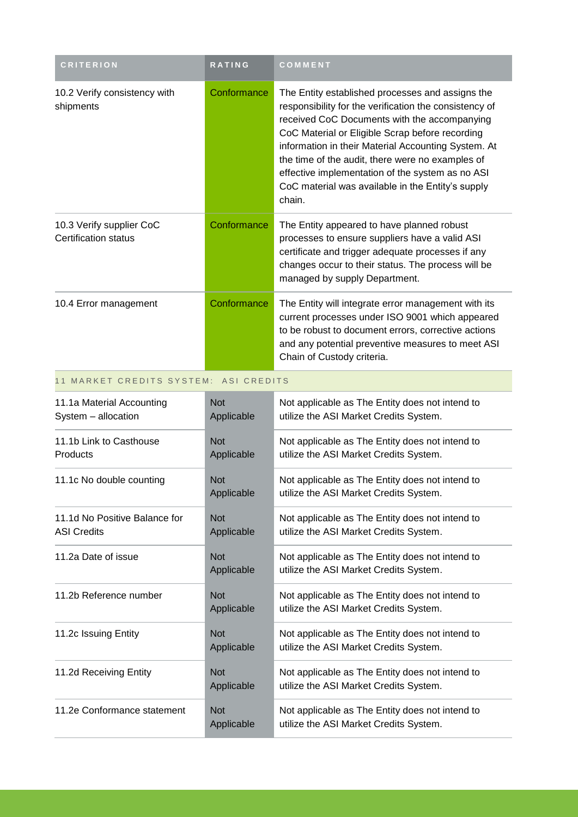| <b>CRITERION</b>                                        | RATING                   | COMMENT                                                                                                                                                                                                                                                                                                                                                                                                                                     |
|---------------------------------------------------------|--------------------------|---------------------------------------------------------------------------------------------------------------------------------------------------------------------------------------------------------------------------------------------------------------------------------------------------------------------------------------------------------------------------------------------------------------------------------------------|
| 10.2 Verify consistency with<br>shipments               | Conformance              | The Entity established processes and assigns the<br>responsibility for the verification the consistency of<br>received CoC Documents with the accompanying<br>CoC Material or Eligible Scrap before recording<br>information in their Material Accounting System. At<br>the time of the audit, there were no examples of<br>effective implementation of the system as no ASI<br>CoC material was available in the Entity's supply<br>chain. |
| 10.3 Verify supplier CoC<br><b>Certification status</b> | Conformance              | The Entity appeared to have planned robust<br>processes to ensure suppliers have a valid ASI<br>certificate and trigger adequate processes if any<br>changes occur to their status. The process will be<br>managed by supply Department.                                                                                                                                                                                                    |
| 10.4 Error management                                   | Conformance              | The Entity will integrate error management with its<br>current processes under ISO 9001 which appeared<br>to be robust to document errors, corrective actions<br>and any potential preventive measures to meet ASI<br>Chain of Custody criteria.                                                                                                                                                                                            |
| 11 MARKET CREDITS SYSTEM: ASI CREDITS                   |                          |                                                                                                                                                                                                                                                                                                                                                                                                                                             |
| 11.1a Material Accounting<br>System - allocation        | <b>Not</b><br>Applicable | Not applicable as The Entity does not intend to<br>utilize the ASI Market Credits System.                                                                                                                                                                                                                                                                                                                                                   |
| 11.1b Link to Casthouse<br>Products                     | <b>Not</b><br>Applicable | Not applicable as The Entity does not intend to<br>utilize the ASI Market Credits System.                                                                                                                                                                                                                                                                                                                                                   |
| 11.1c No double counting                                | <b>Not</b><br>Applicable | Not applicable as The Entity does not intend to<br>utilize the ASI Market Credits System.                                                                                                                                                                                                                                                                                                                                                   |
| 11.1d No Positive Balance for<br><b>ASI Credits</b>     | <b>Not</b><br>Applicable | Not applicable as The Entity does not intend to<br>utilize the ASI Market Credits System.                                                                                                                                                                                                                                                                                                                                                   |
| 11.2a Date of issue                                     | <b>Not</b><br>Applicable | Not applicable as The Entity does not intend to<br>utilize the ASI Market Credits System.                                                                                                                                                                                                                                                                                                                                                   |
| 11.2b Reference number                                  | <b>Not</b><br>Applicable | Not applicable as The Entity does not intend to<br>utilize the ASI Market Credits System.                                                                                                                                                                                                                                                                                                                                                   |
| 11.2c Issuing Entity                                    | <b>Not</b><br>Applicable | Not applicable as The Entity does not intend to<br>utilize the ASI Market Credits System.                                                                                                                                                                                                                                                                                                                                                   |
| 11.2d Receiving Entity                                  | <b>Not</b><br>Applicable | Not applicable as The Entity does not intend to<br>utilize the ASI Market Credits System.                                                                                                                                                                                                                                                                                                                                                   |
| 11.2e Conformance statement                             | <b>Not</b>               | Not applicable as The Entity does not intend to                                                                                                                                                                                                                                                                                                                                                                                             |

Applicable

utilize the ASI Market Credits System.